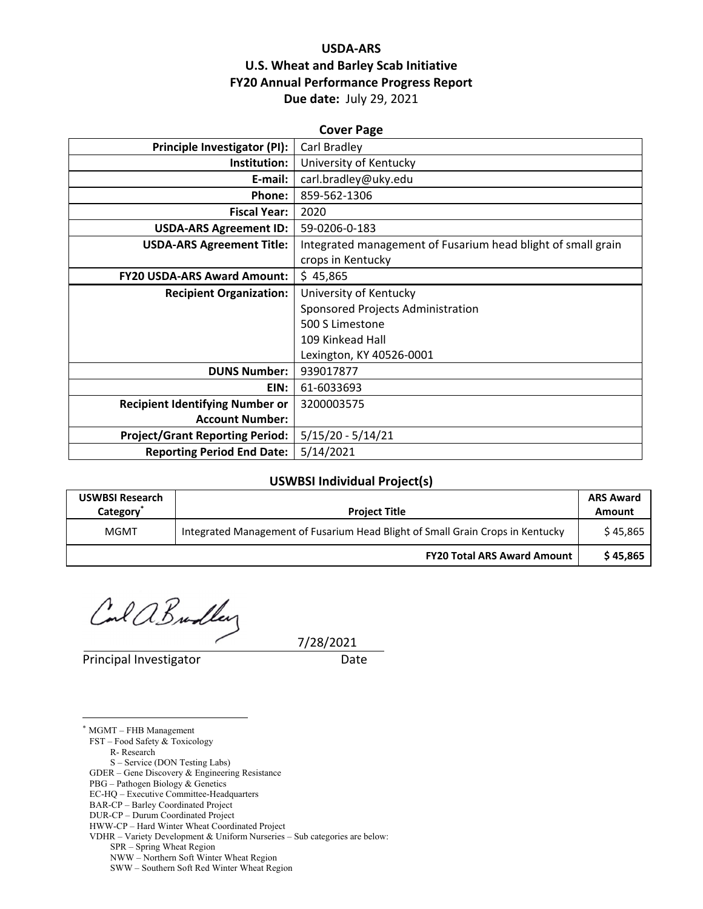# **USDA‐ARS U.S. Wheat and Barley Scab Initiative FY20 Annual Performance Progress Report Due date:** July 29, 2021

| <b>Cover Page</b>                      |                                                              |  |  |  |
|----------------------------------------|--------------------------------------------------------------|--|--|--|
| Principle Investigator (PI):           | Carl Bradley                                                 |  |  |  |
| Institution:                           | University of Kentucky                                       |  |  |  |
| E-mail:                                | carl.bradley@uky.edu                                         |  |  |  |
| Phone:                                 | 859-562-1306                                                 |  |  |  |
| <b>Fiscal Year:</b>                    | 2020                                                         |  |  |  |
| <b>USDA-ARS Agreement ID:</b>          | 59-0206-0-183                                                |  |  |  |
| <b>USDA-ARS Agreement Title:</b>       | Integrated management of Fusarium head blight of small grain |  |  |  |
|                                        | crops in Kentucky                                            |  |  |  |
| <b>FY20 USDA-ARS Award Amount:</b>     | \$45,865                                                     |  |  |  |
| <b>Recipient Organization:</b>         | University of Kentucky                                       |  |  |  |
|                                        | Sponsored Projects Administration                            |  |  |  |
|                                        | 500 S Limestone                                              |  |  |  |
|                                        | 109 Kinkead Hall                                             |  |  |  |
|                                        | Lexington, KY 40526-0001                                     |  |  |  |
| <b>DUNS Number:</b>                    | 939017877                                                    |  |  |  |
| EIN:                                   | 61-6033693                                                   |  |  |  |
| <b>Recipient Identifying Number or</b> | 3200003575                                                   |  |  |  |
| <b>Account Number:</b>                 |                                                              |  |  |  |
| <b>Project/Grant Reporting Period:</b> | $5/15/20 - 5/14/21$                                          |  |  |  |
| <b>Reporting Period End Date:</b>      | 5/14/2021                                                    |  |  |  |

#### **USWBSI Individual Project(s)**

| <b>USWBSI Research</b><br>Category <sup>®</sup> | <b>Project Title</b>                                                           | <b>ARS Award</b><br>Amount |
|-------------------------------------------------|--------------------------------------------------------------------------------|----------------------------|
| <b>MGMT</b>                                     | Integrated Management of Fusarium Head Blight of Small Grain Crops in Kentucky | \$45.865                   |
|                                                 | <b>FY20 Total ARS Award Amount</b>                                             | \$45,865                   |

 $C$ and  $B$  radbery  $7/28/2021$ 

Principal Investigator **Date** 

\* MGMT – FHB Management

 $\overline{a}$ 

FST – Food Safety & Toxicology

R- Research

 S – Service (DON Testing Labs) GDER – Gene Discovery & Engineering Resistance

PBG – Pathogen Biology & Genetics

EC-HQ – Executive Committee-Headquarters

BAR-CP – Barley Coordinated Project

DUR-CP – Durum Coordinated Project

HWW-CP – Hard Winter Wheat Coordinated Project

VDHR – Variety Development & Uniform Nurseries – Sub categories are below:

SPR – Spring Wheat Region

NWW – Northern Soft Winter Wheat Region

SWW – Southern Soft Red Winter Wheat Region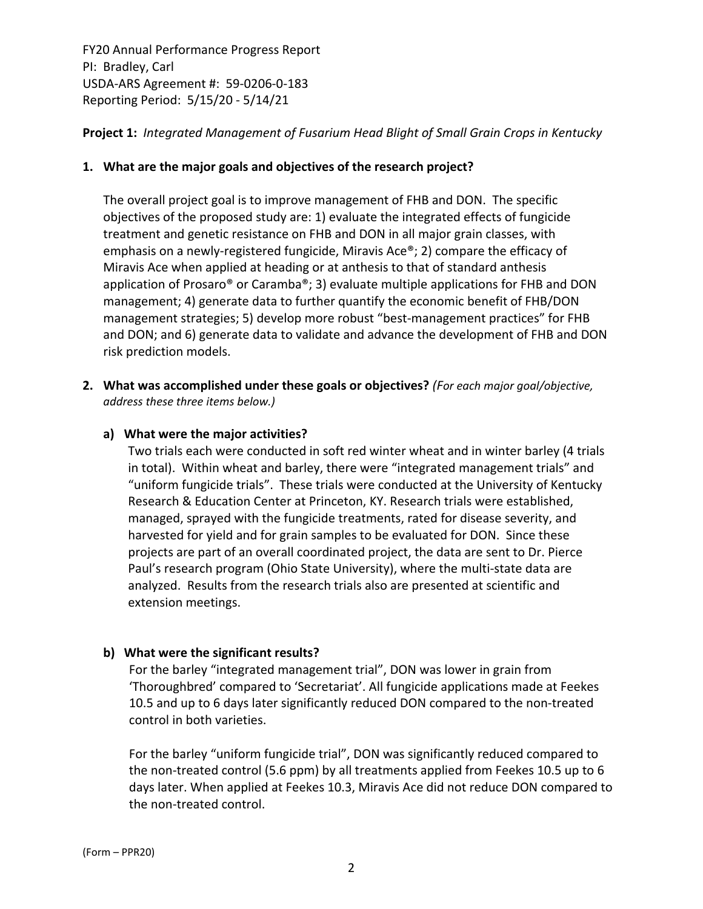**Project 1:** *Integrated Management of Fusarium Head Blight of Small Grain Crops in Kentucky*

# **1. What are the major goals and objectives of the research project?**

The overall project goal is to improve management of FHB and DON. The specific objectives of the proposed study are: 1) evaluate the integrated effects of fungicide treatment and genetic resistance on FHB and DON in all major grain classes, with emphasis on a newly-registered fungicide, Miravis Ace®; 2) compare the efficacy of Miravis Ace when applied at heading or at anthesis to that of standard anthesis application of Prosaro® or Caramba®; 3) evaluate multiple applications for FHB and DON management; 4) generate data to further quantify the economic benefit of FHB/DON management strategies; 5) develop more robust "best‐management practices" for FHB and DON; and 6) generate data to validate and advance the development of FHB and DON risk prediction models.

**2. What was accomplished under these goals or objectives?** *(For each major goal/objective, address these three items below.)*

# **a) What were the major activities?**

Two trials each were conducted in soft red winter wheat and in winter barley (4 trials in total). Within wheat and barley, there were "integrated management trials" and "uniform fungicide trials". These trials were conducted at the University of Kentucky Research & Education Center at Princeton, KY. Research trials were established, managed, sprayed with the fungicide treatments, rated for disease severity, and harvested for yield and for grain samples to be evaluated for DON. Since these projects are part of an overall coordinated project, the data are sent to Dr. Pierce Paul's research program (Ohio State University), where the multi‐state data are analyzed. Results from the research trials also are presented at scientific and extension meetings.

# **b) What were the significant results?**

For the barley "integrated management trial", DON was lower in grain from 'Thoroughbred' compared to 'Secretariat'. All fungicide applications made at Feekes 10.5 and up to 6 days later significantly reduced DON compared to the non‐treated control in both varieties.

For the barley "uniform fungicide trial", DON was significantly reduced compared to the non-treated control (5.6 ppm) by all treatments applied from Feekes 10.5 up to 6 days later. When applied at Feekes 10.3, Miravis Ace did not reduce DON compared to the non‐treated control.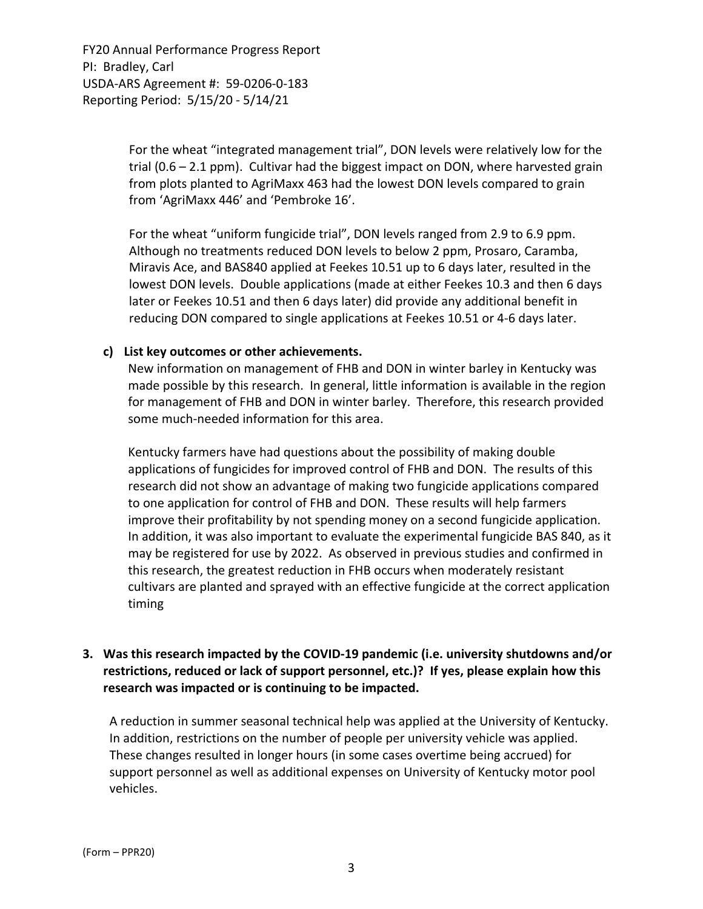> For the wheat "integrated management trial", DON levels were relatively low for the trial (0.6 – 2.1 ppm). Cultivar had the biggest impact on DON, where harvested grain from plots planted to AgriMaxx 463 had the lowest DON levels compared to grain from 'AgriMaxx 446' and 'Pembroke 16'.

> For the wheat "uniform fungicide trial", DON levels ranged from 2.9 to 6.9 ppm. Although no treatments reduced DON levels to below 2 ppm, Prosaro, Caramba, Miravis Ace, and BAS840 applied at Feekes 10.51 up to 6 days later, resulted in the lowest DON levels. Double applications (made at either Feekes 10.3 and then 6 days later or Feekes 10.51 and then 6 days later) did provide any additional benefit in reducing DON compared to single applications at Feekes 10.51 or 4‐6 days later.

#### **c) List key outcomes or other achievements.**

New information on management of FHB and DON in winter barley in Kentucky was made possible by this research. In general, little information is available in the region for management of FHB and DON in winter barley. Therefore, this research provided some much‐needed information for this area.

Kentucky farmers have had questions about the possibility of making double applications of fungicides for improved control of FHB and DON. The results of this research did not show an advantage of making two fungicide applications compared to one application for control of FHB and DON. These results will help farmers improve their profitability by not spending money on a second fungicide application. In addition, it was also important to evaluate the experimental fungicide BAS 840, as it may be registered for use by 2022. As observed in previous studies and confirmed in this research, the greatest reduction in FHB occurs when moderately resistant cultivars are planted and sprayed with an effective fungicide at the correct application timing

## **3. Was this research impacted by the COVID‐19 pandemic (i.e. university shutdowns and/or restrictions, reduced or lack of support personnel, etc.)? If yes, please explain how this research was impacted or is continuing to be impacted.**

A reduction in summer seasonal technical help was applied at the University of Kentucky. In addition, restrictions on the number of people per university vehicle was applied. These changes resulted in longer hours (in some cases overtime being accrued) for support personnel as well as additional expenses on University of Kentucky motor pool vehicles.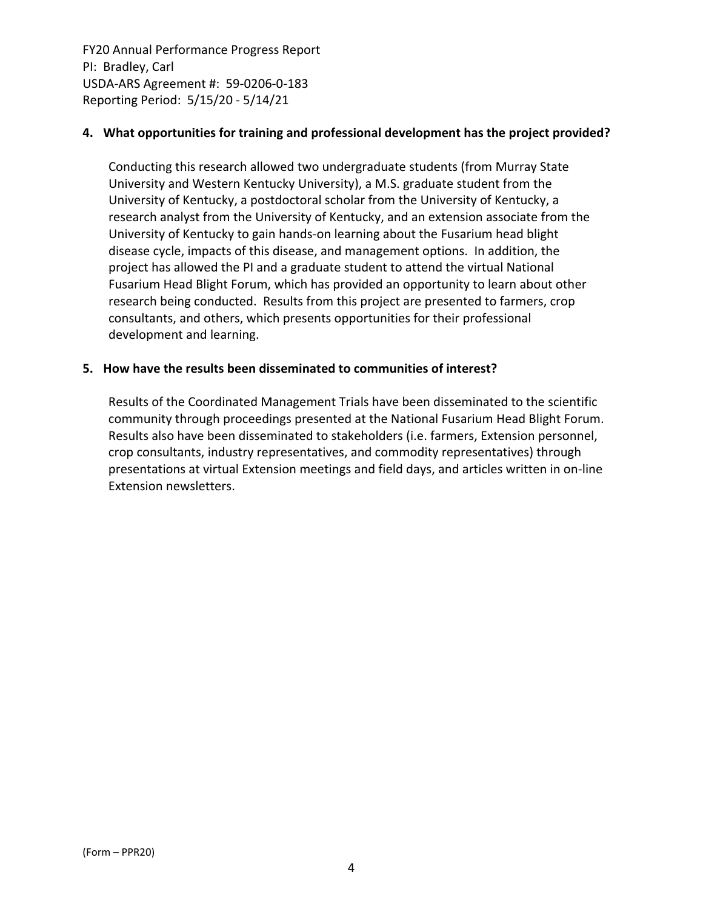## **4. What opportunities for training and professional development has the project provided?**

Conducting this research allowed two undergraduate students (from Murray State University and Western Kentucky University), a M.S. graduate student from the University of Kentucky, a postdoctoral scholar from the University of Kentucky, a research analyst from the University of Kentucky, and an extension associate from the University of Kentucky to gain hands‐on learning about the Fusarium head blight disease cycle, impacts of this disease, and management options. In addition, the project has allowed the PI and a graduate student to attend the virtual National Fusarium Head Blight Forum, which has provided an opportunity to learn about other research being conducted. Results from this project are presented to farmers, crop consultants, and others, which presents opportunities for their professional development and learning.

### **5. How have the results been disseminated to communities of interest?**

Results of the Coordinated Management Trials have been disseminated to the scientific community through proceedings presented at the National Fusarium Head Blight Forum. Results also have been disseminated to stakeholders (i.e. farmers, Extension personnel, crop consultants, industry representatives, and commodity representatives) through presentations at virtual Extension meetings and field days, and articles written in on‐line Extension newsletters.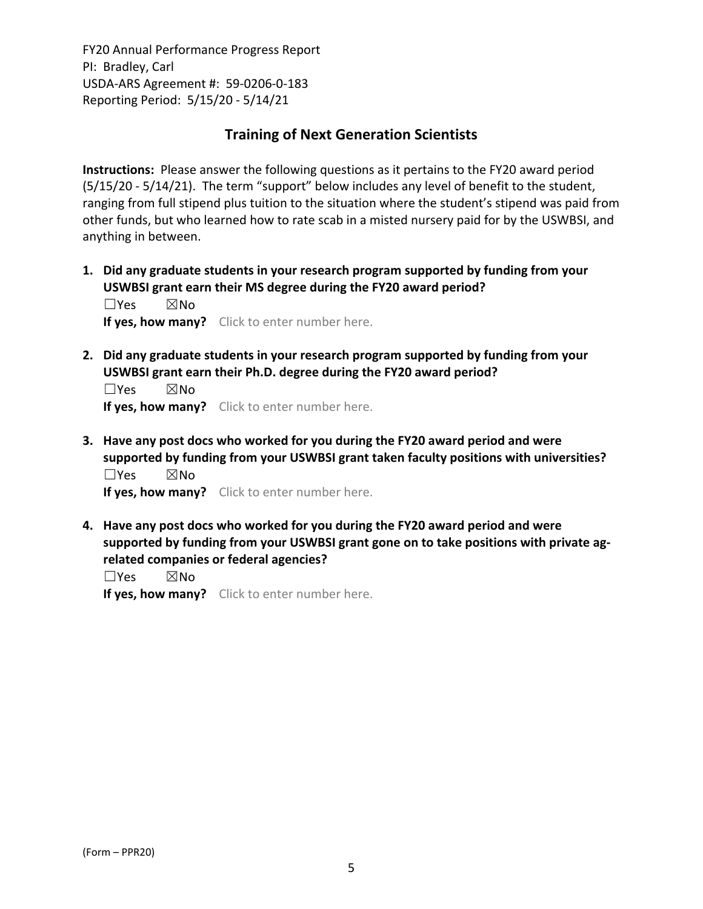# **Training of Next Generation Scientists**

**Instructions:** Please answer the following questions as it pertains to the FY20 award period (5/15/20 ‐ 5/14/21). The term "support" below includes any level of benefit to the student, ranging from full stipend plus tuition to the situation where the student's stipend was paid from other funds, but who learned how to rate scab in a misted nursery paid for by the USWBSI, and anything in between.

**1. Did any graduate students in your research program supported by funding from your USWBSI grant earn their MS degree during the FY20 award period?** ☐Yes ☒No

**If yes, how many?** Click to enter number here.

**2. Did any graduate students in your research program supported by funding from your USWBSI grant earn their Ph.D. degree during the FY20 award period?**

☐Yes ☒No **If yes, how many?** Click to enter number here.

**3. Have any post docs who worked for you during the FY20 award period and were supported by funding from your USWBSI grant taken faculty positions with universities?** ☐Yes ☒No

**If yes, how many?** Click to enter number here.

**4. Have any post docs who worked for you during the FY20 award period and were supported by funding from your USWBSI grant gone on to take positions with private ag‐ related companies or federal agencies?**

☐Yes ☒No

**If yes, how many?** Click to enter number here.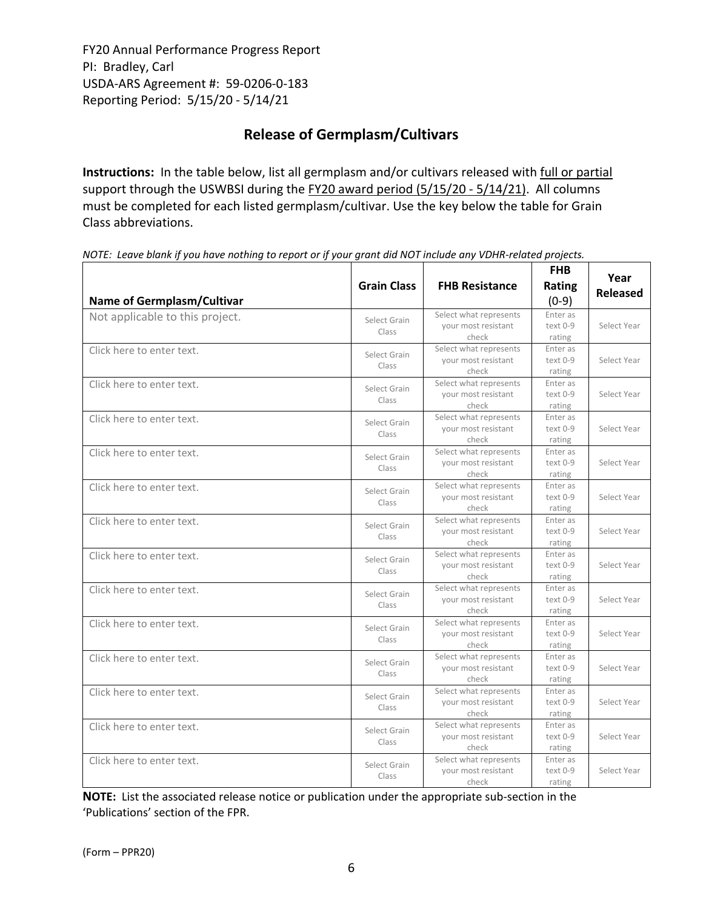# **Release of Germplasm/Cultivars**

**Instructions:** In the table below, list all germplasm and/or cultivars released with full or partial support through the USWBSI during the FY20 award period (5/15/20 - 5/14/21). All columns must be completed for each listed germplasm/cultivar. Use the key below the table for Grain Class abbreviations. 

| <b>Name of Germplasm/Cultivar</b> | <b>Grain Class</b>    | <b>FHB Resistance</b>                                  | <b>FHB</b><br>Rating<br>$(0-9)$ | Year<br><b>Released</b> |
|-----------------------------------|-----------------------|--------------------------------------------------------|---------------------------------|-------------------------|
| Not applicable to this project.   | Select Grain<br>Class | Select what represents<br>your most resistant<br>check | Enter as<br>text 0-9<br>rating  | Select Year             |
| Click here to enter text.         | Select Grain<br>Class | Select what represents<br>your most resistant<br>check | Enter as<br>text 0-9<br>rating  | Select Year             |
| Click here to enter text.         | Select Grain<br>Class | Select what represents<br>your most resistant<br>check | Enter as<br>text 0-9<br>rating  | Select Year             |
| Click here to enter text.         | Select Grain<br>Class | Select what represents<br>your most resistant<br>check | Enter as<br>text 0-9<br>rating  | Select Year             |
| Click here to enter text.         | Select Grain<br>Class | Select what represents<br>your most resistant<br>check | Enter as<br>text 0-9<br>rating  | Select Year             |
| Click here to enter text.         | Select Grain<br>Class | Select what represents<br>your most resistant<br>check | Enter as<br>text 0-9<br>rating  | Select Year             |
| Click here to enter text.         | Select Grain<br>Class | Select what represents<br>your most resistant<br>check | Enter as<br>text 0-9<br>rating  | Select Year             |
| Click here to enter text.         | Select Grain<br>Class | Select what represents<br>your most resistant<br>check | Enter as<br>text 0-9<br>rating  | Select Year             |
| Click here to enter text.         | Select Grain<br>Class | Select what represents<br>your most resistant<br>check | Enter as<br>text 0-9<br>rating  | Select Year             |
| Click here to enter text.         | Select Grain<br>Class | Select what represents<br>your most resistant<br>check | Enter as<br>text 0-9<br>rating  | Select Year             |
| Click here to enter text.         | Select Grain<br>Class | Select what represents<br>your most resistant<br>check | Enter as<br>text 0-9<br>rating  | Select Year             |
| Click here to enter text.         | Select Grain<br>Class | Select what represents<br>your most resistant<br>check | Enter as<br>text 0-9<br>rating  | Select Year             |
| Click here to enter text.         | Select Grain<br>Class | Select what represents<br>your most resistant<br>check | Enter as<br>text 0-9<br>rating  | Select Year             |
| Click here to enter text.         | Select Grain<br>Class | Select what represents<br>your most resistant<br>check | Enter as<br>text 0-9<br>rating  | Select Year             |

NOTE: Leave blank if you have nothing to report or if your grant did NOT include any VDHR-related projects.

**NOTE:** List the associated release notice or publication under the appropriate sub-section in the 'Publications' section of the FPR.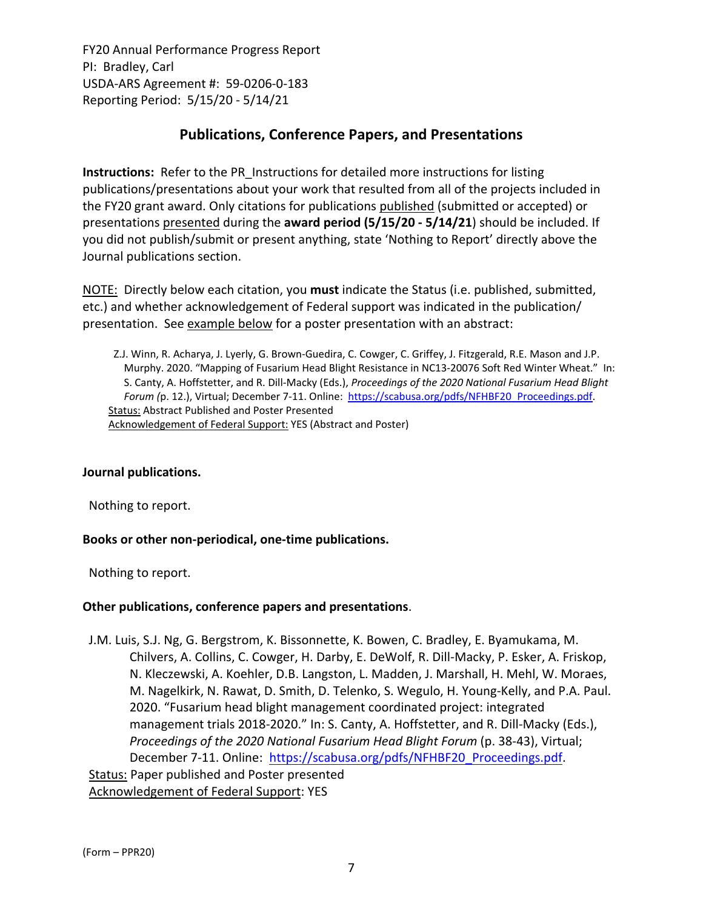# **Publications, Conference Papers, and Presentations**

**Instructions:** Refer to the PR\_Instructions for detailed more instructions for listing publications/presentations about your work that resulted from all of the projects included in the FY20 grant award. Only citations for publications published (submitted or accepted) or presentations presented during the **award period (5/15/20 ‐ 5/14/21**) should be included. If you did not publish/submit or present anything, state 'Nothing to Report' directly above the Journal publications section.

NOTE: Directly below each citation, you **must** indicate the Status (i.e. published, submitted, etc.) and whether acknowledgement of Federal support was indicated in the publication/ presentation. See example below for a poster presentation with an abstract:

Z.J. Winn, R. Acharya, J. Lyerly, G. Brown‐Guedira, C. Cowger, C. Griffey, J. Fitzgerald, R.E. Mason and J.P. Murphy. 2020. "Mapping of Fusarium Head Blight Resistance in NC13‐20076 Soft Red Winter Wheat." In: S. Canty, A. Hoffstetter, and R. Dill‐Macky (Eds.), *Proceedings of the 2020 National Fusarium Head Blight Forum (*p. 12.), Virtual; December 7‐11. Online: https://scabusa.org/pdfs/NFHBF20\_Proceedings.pdf. Status: Abstract Published and Poster Presented Acknowledgement of Federal Support: YES (Abstract and Poster)

# **Journal publications.**

Nothing to report.

# **Books or other non‐periodical, one‐time publications.**

Nothing to report.

# **Other publications, conference papers and presentations**.

J.M. Luis, S.J. Ng, G. Bergstrom, K. Bissonnette, K. Bowen, C. Bradley, E. Byamukama, M. Chilvers, A. Collins, C. Cowger, H. Darby, E. DeWolf, R. Dill‐Macky, P. Esker, A. Friskop, N. Kleczewski, A. Koehler, D.B. Langston, L. Madden, J. Marshall, H. Mehl, W. Moraes, M. Nagelkirk, N. Rawat, D. Smith, D. Telenko, S. Wegulo, H. Young-Kelly, and P.A. Paul. 2020. "Fusarium head blight management coordinated project: integrated management trials 2018-2020." In: S. Canty, A. Hoffstetter, and R. Dill-Macky (Eds.), *Proceedings of the 2020 National Fusarium Head Blight Forum* (p. 38‐43), Virtual; December 7-11. Online: https://scabusa.org/pdfs/NFHBF20\_Proceedings.pdf. Status: Paper published and Poster presented Acknowledgement of Federal Support: YES